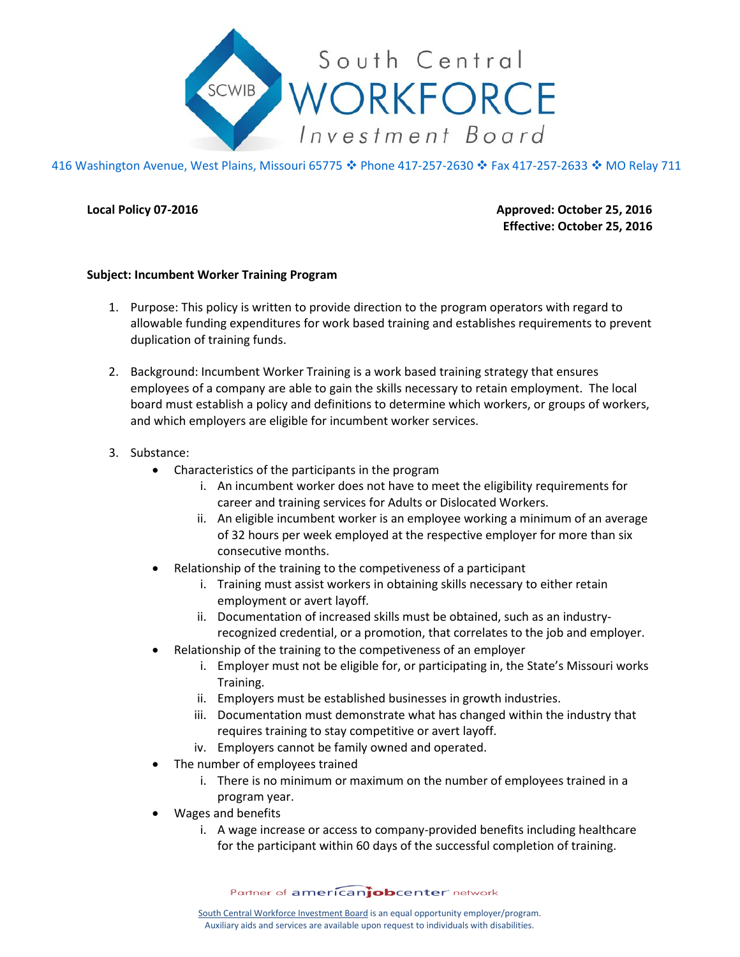

416 Washington Avenue, West Plains, Missouri 65775 ♦ Phone 417-257-2630 ♦ Fax 417-257-2633 ♦ MO Relay 711

**Local Policy 07-2016 Approved: October 25, 2016 Effective: October 25, 2016**

## **Subject: Incumbent Worker Training Program**

- 1. Purpose: This policy is written to provide direction to the program operators with regard to allowable funding expenditures for work based training and establishes requirements to prevent duplication of training funds.
- 2. Background: Incumbent Worker Training is a work based training strategy that ensures employees of a company are able to gain the skills necessary to retain employment. The local board must establish a policy and definitions to determine which workers, or groups of workers, and which employers are eligible for incumbent worker services.
- 3. Substance:
	- Characteristics of the participants in the program
		- i. An incumbent worker does not have to meet the eligibility requirements for career and training services for Adults or Dislocated Workers.
		- ii. An eligible incumbent worker is an employee working a minimum of an average of 32 hours per week employed at the respective employer for more than six consecutive months.
	- Relationship of the training to the competiveness of a participant
		- i. Training must assist workers in obtaining skills necessary to either retain employment or avert layoff.
		- ii. Documentation of increased skills must be obtained, such as an industryrecognized credential, or a promotion, that correlates to the job and employer.
	- Relationship of the training to the competiveness of an employer
		- i. Employer must not be eligible for, or participating in, the State's Missouri works Training.
		- ii. Employers must be established businesses in growth industries.
		- iii. Documentation must demonstrate what has changed within the industry that requires training to stay competitive or avert layoff.
		- iv. Employers cannot be family owned and operated.
	- The number of employees trained
		- i. There is no minimum or maximum on the number of employees trained in a program year.
	- Wages and benefits
		- i. A wage increase or access to company-provided benefits including healthcare for the participant within 60 days of the successful completion of training.

Partner of americanjobcenter network